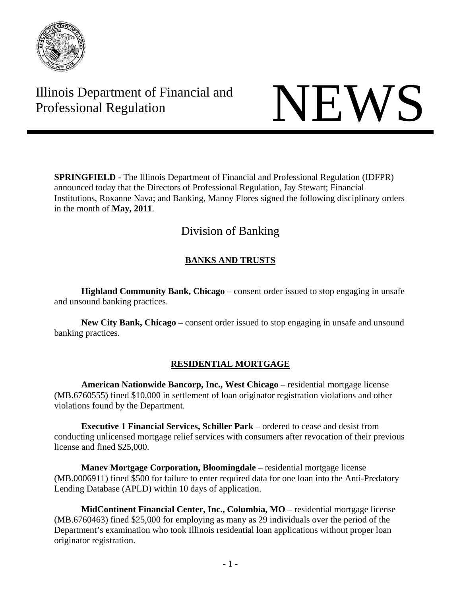

# Illinois Department of Financial and Illinois Department of Financial and<br>Professional Regulation NEWS

**SPRINGFIELD** - The Illinois Department of Financial and Professional Regulation (IDFPR) announced today that the Directors of Professional Regulation, Jay Stewart; Financial Institutions, Roxanne Nava; and Banking, Manny Flores signed the following disciplinary orders in the month of **May, 2011**.

# Division of Banking

# **BANKS AND TRUSTS**

**Highland Community Bank, Chicago** – consent order issued to stop engaging in unsafe and unsound banking practices.

**New City Bank, Chicago –** consent order issued to stop engaging in unsafe and unsound banking practices.

# **RESIDENTIAL MORTGAGE**

**American Nationwide Bancorp, Inc., West Chicago** – residential mortgage license (MB.6760555) fined \$10,000 in settlement of loan originator registration violations and other violations found by the Department.

**Executive 1 Financial Services, Schiller Park** – ordered to cease and desist from conducting unlicensed mortgage relief services with consumers after revocation of their previous license and fined \$25,000.

**Manev Mortgage Corporation, Bloomingdale** – residential mortgage license (MB.0006911) fined \$500 for failure to enter required data for one loan into the Anti-Predatory Lending Database (APLD) within 10 days of application.

**MidContinent Financial Center, Inc., Columbia, MO** – residential mortgage license (MB.6760463) fined \$25,000 for employing as many as 29 individuals over the period of the Department's examination who took Illinois residential loan applications without proper loan originator registration.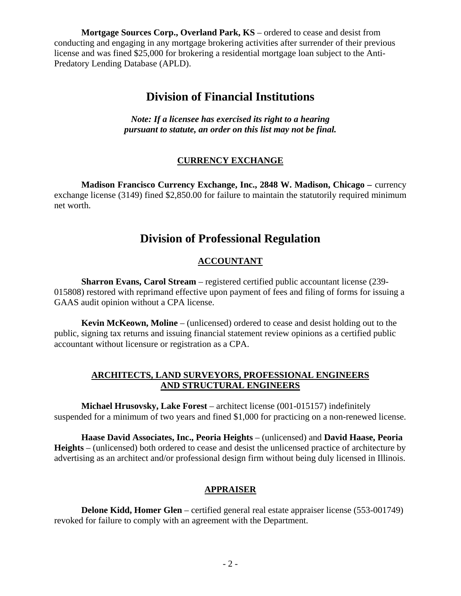**Mortgage Sources Corp., Overland Park, KS** – ordered to cease and desist from conducting and engaging in any mortgage brokering activities after surrender of their previous license and was fined \$25,000 for brokering a residential mortgage loan subject to the Anti-Predatory Lending Database (APLD).

# **Division of Financial Institutions**

*Note: If a licensee has exercised its right to a hearing pursuant to statute, an order on this list may not be final.* 

# **CURRENCY EXCHANGE**

**Madison Francisco Currency Exchange, Inc., 2848 W. Madison, Chicago –** currency exchange license (3149) fined \$2,850.00 for failure to maintain the statutorily required minimum net worth.

# **Division of Professional Regulation**

# **ACCOUNTANT**

 **Sharron Evans, Carol Stream** – registered certified public accountant license (239- 015808) restored with reprimand effective upon payment of fees and filing of forms for issuing a GAAS audit opinion without a CPA license.

**Kevin McKeown, Moline** – (unlicensed) ordered to cease and desist holding out to the public, signing tax returns and issuing financial statement review opinions as a certified public accountant without licensure or registration as a CPA.

# **ARCHITECTS, LAND SURVEYORS, PROFESSIONAL ENGINEERS AND STRUCTURAL ENGINEERS**

 **Michael Hrusovsky, Lake Forest** – architect license (001-015157) indefinitely suspended for a minimum of two years and fined \$1,000 for practicing on a non-renewed license.

 **Haase David Associates, Inc., Peoria Heights** – (unlicensed) and **David Haase, Peoria Heights** – (unlicensed) both ordered to cease and desist the unlicensed practice of architecture by advertising as an architect and/or professional design firm without being duly licensed in Illinois.

# **APPRAISER**

**Delone Kidd, Homer Glen** – certified general real estate appraiser license (553-001749) revoked for failure to comply with an agreement with the Department.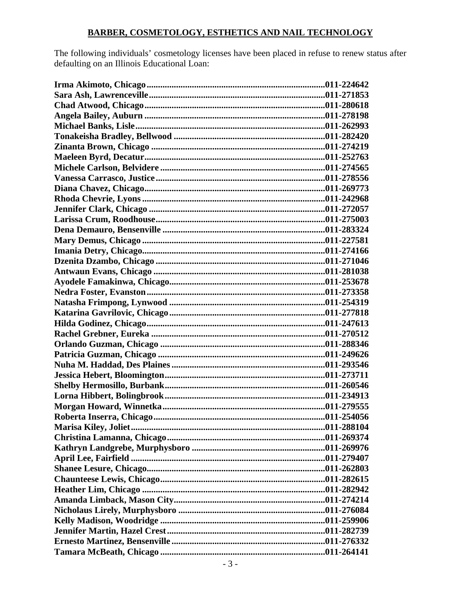# **BARBER, COSMETOLOGY, ESTHETICS AND NAIL TECHNOLOGY**

The following individuals' cosmetology licenses have been placed in refuse to renew status after defaulting on an Illinois Educational Loan: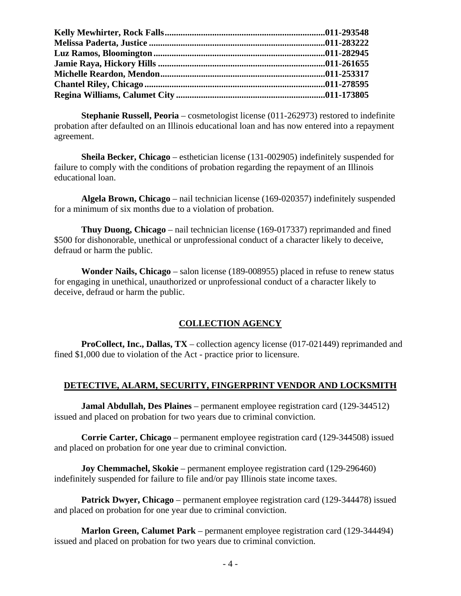**Stephanie Russell, Peoria** – cosmetologist license (011-262973) restored to indefinite probation after defaulted on an Illinois educational loan and has now entered into a repayment agreement.

 **Sheila Becker, Chicago** – esthetician license (131-002905) indefinitely suspended for failure to comply with the conditions of probation regarding the repayment of an Illinois educational loan.

 **Algela Brown, Chicago** – nail technician license (169-020357) indefinitely suspended for a minimum of six months due to a violation of probation.

 **Thuy Duong, Chicago** – nail technician license (169-017337) reprimanded and fined \$500 for dishonorable, unethical or unprofessional conduct of a character likely to deceive, defraud or harm the public.

 **Wonder Nails, Chicago** – salon license (189-008955) placed in refuse to renew status for engaging in unethical, unauthorized or unprofessional conduct of a character likely to deceive, defraud or harm the public.

# **COLLECTION AGENCY**

**ProCollect, Inc., Dallas, TX** – collection agency license (017-021449) reprimanded and fined \$1,000 due to violation of the Act - practice prior to licensure.

# **DETECTIVE, ALARM, SECURITY, FINGERPRINT VENDOR AND LOCKSMITH**

 **Jamal Abdullah, Des Plaines** – permanent employee registration card (129-344512) issued and placed on probation for two years due to criminal conviction.

 **Corrie Carter, Chicago** – permanent employee registration card (129-344508) issued and placed on probation for one year due to criminal conviction.

 **Joy Chemmachel, Skokie** – permanent employee registration card (129-296460) indefinitely suspended for failure to file and/or pay Illinois state income taxes.

 **Patrick Dwyer, Chicago** – permanent employee registration card (129-344478) issued and placed on probation for one year due to criminal conviction.

 **Marlon Green, Calumet Park** – permanent employee registration card (129-344494) issued and placed on probation for two years due to criminal conviction.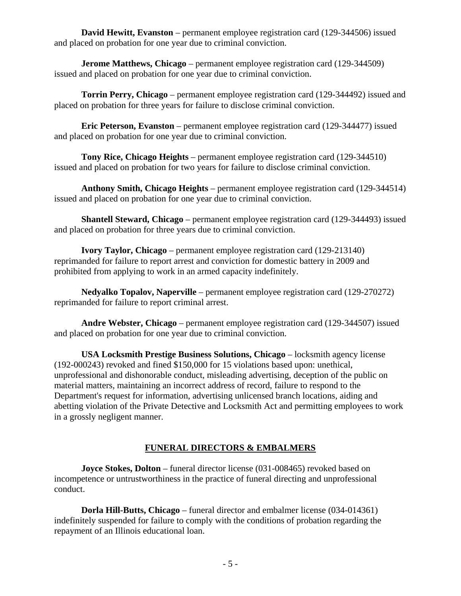**David Hewitt, Evanston** – permanent employee registration card (129-344506) issued and placed on probation for one year due to criminal conviction.

 **Jerome Matthews, Chicago** – permanent employee registration card (129-344509) issued and placed on probation for one year due to criminal conviction.

 **Torrin Perry, Chicago** – permanent employee registration card (129-344492) issued and placed on probation for three years for failure to disclose criminal conviction.

 **Eric Peterson, Evanston** – permanent employee registration card (129-344477) issued and placed on probation for one year due to criminal conviction.

 **Tony Rice, Chicago Heights** – permanent employee registration card (129-344510) issued and placed on probation for two years for failure to disclose criminal conviction.

 **Anthony Smith, Chicago Heights** – permanent employee registration card (129-344514) issued and placed on probation for one year due to criminal conviction.

 **Shantell Steward, Chicago** – permanent employee registration card (129-344493) issued and placed on probation for three years due to criminal conviction.

 **Ivory Taylor, Chicago** – permanent employee registration card (129-213140) reprimanded for failure to report arrest and conviction for domestic battery in 2009 and prohibited from applying to work in an armed capacity indefinitely.

 **Nedyalko Topalov, Naperville** – permanent employee registration card (129-270272) reprimanded for failure to report criminal arrest.

 **Andre Webster, Chicago** – permanent employee registration card (129-344507) issued and placed on probation for one year due to criminal conviction.

 **USA Locksmith Prestige Business Solutions, Chicago** – locksmith agency license (192-000243) revoked and fined \$150,000 for 15 violations based upon: unethical, unprofessional and dishonorable conduct, misleading advertising, deception of the public on material matters, maintaining an incorrect address of record, failure to respond to the Department's request for information, advertising unlicensed branch locations, aiding and abetting violation of the Private Detective and Locksmith Act and permitting employees to work in a grossly negligent manner.

# **FUNERAL DIRECTORS & EMBALMERS**

**Joyce Stokes, Dolton** – funeral director license (031-008465) revoked based on incompetence or untrustworthiness in the practice of funeral directing and unprofessional conduct.

 **Dorla Hill-Butts, Chicago** – funeral director and embalmer license (034-014361) indefinitely suspended for failure to comply with the conditions of probation regarding the repayment of an Illinois educational loan.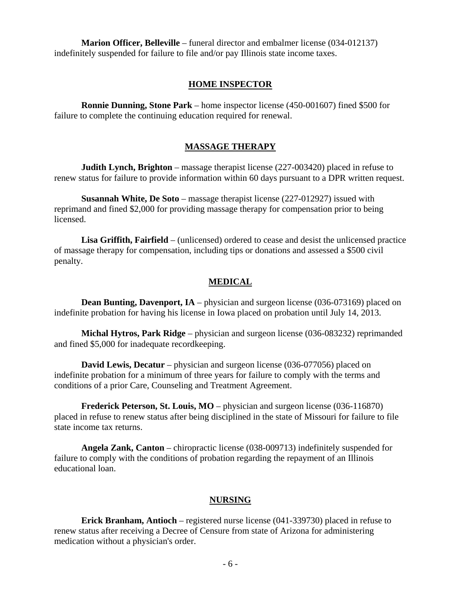**Marion Officer, Belleville** – funeral director and embalmer license (034-012137) indefinitely suspended for failure to file and/or pay Illinois state income taxes.

#### **HOME INSPECTOR**

 **Ronnie Dunning, Stone Park** – home inspector license (450-001607) fined \$500 for failure to complete the continuing education required for renewal.

#### **MASSAGE THERAPY**

 **Judith Lynch, Brighton** – massage therapist license (227-003420) placed in refuse to renew status for failure to provide information within 60 days pursuant to a DPR written request.

 **Susannah White, De Soto** – massage therapist license (227-012927) issued with reprimand and fined \$2,000 for providing massage therapy for compensation prior to being licensed.

 **Lisa Griffith, Fairfield** – (unlicensed) ordered to cease and desist the unlicensed practice of massage therapy for compensation, including tips or donations and assessed a \$500 civil penalty.

#### **MEDICAL**

**Dean Bunting, Davenport, IA** – physician and surgeon license (036-073169) placed on indefinite probation for having his license in Iowa placed on probation until July 14, 2013.

 **Michal Hytros, Park Ridge** – physician and surgeon license (036-083232) reprimanded and fined \$5,000 for inadequate recordkeeping.

**David Lewis, Decatur** – physician and surgeon license (036-077056) placed on indefinite probation for a minimum of three years for failure to comply with the terms and conditions of a prior Care, Counseling and Treatment Agreement.

**Frederick Peterson, St. Louis, MO** – physician and surgeon license (036-116870) placed in refuse to renew status after being disciplined in the state of Missouri for failure to file state income tax returns.

 **Angela Zank, Canton** – chiropractic license (038-009713) indefinitely suspended for failure to comply with the conditions of probation regarding the repayment of an Illinois educational loan.

#### **NURSING**

 **Erick Branham, Antioch** – registered nurse license (041-339730) placed in refuse to renew status after receiving a Decree of Censure from state of Arizona for administering medication without a physician's order.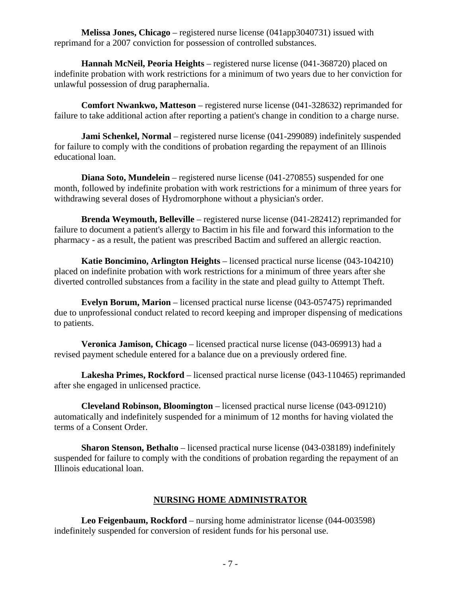**Melissa Jones, Chicago** – registered nurse license (041app3040731) issued with reprimand for a 2007 conviction for possession of controlled substances.

 **Hannah McNeil, Peoria Heights** – registered nurse license (041-368720) placed on indefinite probation with work restrictions for a minimum of two years due to her conviction for unlawful possession of drug paraphernalia.

 **Comfort Nwankwo, Matteson** – registered nurse license (041-328632) reprimanded for failure to take additional action after reporting a patient's change in condition to a charge nurse.

**Jami Schenkel, Normal** – registered nurse license (041-299089) indefinitely suspended for failure to comply with the conditions of probation regarding the repayment of an Illinois educational loan.

**Diana Soto, Mundelein** – registered nurse license (041-270855) suspended for one month, followed by indefinite probation with work restrictions for a minimum of three years for withdrawing several doses of Hydromorphone without a physician's order.

 **Brenda Weymouth, Belleville** – registered nurse license (041-282412) reprimanded for failure to document a patient's allergy to Bactim in his file and forward this information to the pharmacy - as a result, the patient was prescribed Bactim and suffered an allergic reaction.

 **Katie Boncimino, Arlington Heights** – licensed practical nurse license (043-104210) placed on indefinite probation with work restrictions for a minimum of three years after she diverted controlled substances from a facility in the state and plead guilty to Attempt Theft.

**Evelyn Borum, Marion** – licensed practical nurse license (043-057475) reprimanded due to unprofessional conduct related to record keeping and improper dispensing of medications to patients.

 **Veronica Jamison, Chicago** – licensed practical nurse license (043-069913) had a revised payment schedule entered for a balance due on a previously ordered fine.

 **Lakesha Primes, Rockford** – licensed practical nurse license (043-110465) reprimanded after she engaged in unlicensed practice.

 **Cleveland Robinson, Bloomington** – licensed practical nurse license (043-091210) automatically and indefinitely suspended for a minimum of 12 months for having violated the terms of a Consent Order.

**Sharon Stenson, Bethalto** – licensed practical nurse license (043-038189) indefinitely suspended for failure to comply with the conditions of probation regarding the repayment of an Illinois educational loan.

# **NURSING HOME ADMINISTRATOR**

 **Leo Feigenbaum, Rockford** – nursing home administrator license (044-003598) indefinitely suspended for conversion of resident funds for his personal use.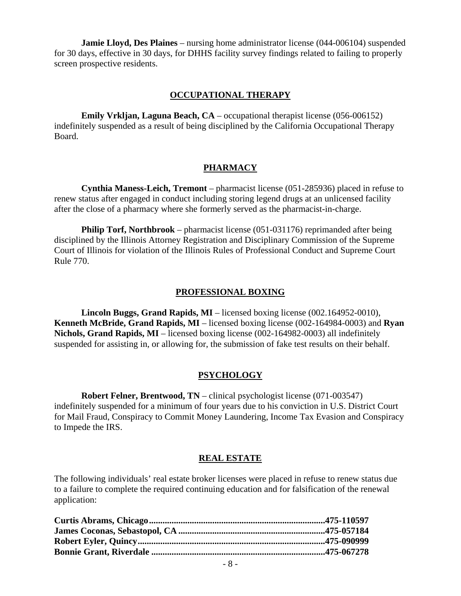**Jamie Lloyd, Des Plaines** – nursing home administrator license (044-006104) suspended for 30 days, effective in 30 days, for DHHS facility survey findings related to failing to properly screen prospective residents.

#### **OCCUPATIONAL THERAPY**

 **Emily Vrkljan, Laguna Beach, CA** – occupational therapist license (056-006152) indefinitely suspended as a result of being disciplined by the California Occupational Therapy Board.

# **PHARMACY**

 **Cynthia Maness-Leich, Tremont** – pharmacist license (051-285936) placed in refuse to renew status after engaged in conduct including storing legend drugs at an unlicensed facility after the close of a pharmacy where she formerly served as the pharmacist-in-charge.

**Philip Torf, Northbrook** – pharmacist license (051-031176) reprimanded after being disciplined by the Illinois Attorney Registration and Disciplinary Commission of the Supreme Court of Illinois for violation of the Illinois Rules of Professional Conduct and Supreme Court Rule 770.

### **PROFESSIONAL BOXING**

 **Lincoln Buggs, Grand Rapids, MI** – licensed boxing license (002.164952-0010), **Kenneth McBride, Grand Rapids, MI** – licensed boxing license (002-164984-0003) and **Ryan Nichols, Grand Rapids, MI** – licensed boxing license (002-164982-0003) all indefinitely suspended for assisting in, or allowing for, the submission of fake test results on their behalf.

# **PSYCHOLOGY**

 **Robert Felner, Brentwood, TN** – clinical psychologist license (071-003547) indefinitely suspended for a minimum of four years due to his conviction in U.S. District Court for Mail Fraud, Conspiracy to Commit Money Laundering, Income Tax Evasion and Conspiracy to Impede the IRS.

# **REAL ESTATE**

The following individuals' real estate broker licenses were placed in refuse to renew status due to a failure to complete the required continuing education and for falsification of the renewal application: